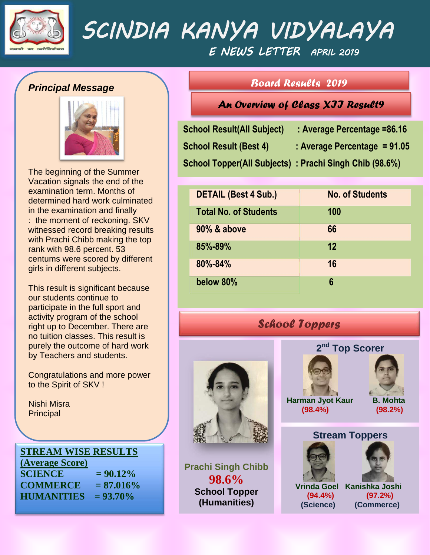

# *SCINDIA KANYA VIDYALAYA E NEWS LETTER APRIL 2019*

# *Principal Message*



The beginning of the Summer Vacation signals the end of the examination term. Months of determined hard work culminated in the examination and finally : the moment of reckoning. SKV witnessed record breaking results with Prachi Chibb making the top rank with 98.6 percent. 53 centums were scored by different girls in different subjects.

This result is significant because our students continue to participate in the full sport and activity program of the school right up to December. There are no tuition classes. This result is purely the outcome of hard work by Teachers and students.

Congratulations and more power to the Spirit of SKV !

Nishi Misra **Principal** 

# **STREAM WISE RESULTS**

**(Average Score)**  $SCIENCE = 90.12\%$ **COMMERCE = 87.016% HUMANITIES = 93.70%**

# *Board Results 2019*

*An Overview of Class XII Result9* 

| <b>School Result(All Subject)</b>                      | : Average Percentage = 86.16   |
|--------------------------------------------------------|--------------------------------|
| <b>School Result (Best 4)</b>                          | : Average Percentage = $91.05$ |
| School Topper(All Subjects): Prachi Singh Chib (98.6%) |                                |

| <b>DETAIL (Best 4 Sub.)</b>  | <b>No. of Students</b> |
|------------------------------|------------------------|
| <b>Total No. of Students</b> | 100                    |
| 90% & above                  | 66                     |
| 85%-89%                      | 12                     |
| 80%-84%                      | 16                     |
| below 80%                    | 6                      |

# *School Toppers*



**Prachi Singh Chibb 98.6% School Topper (Humanities)**





**(Science) (Commerce)**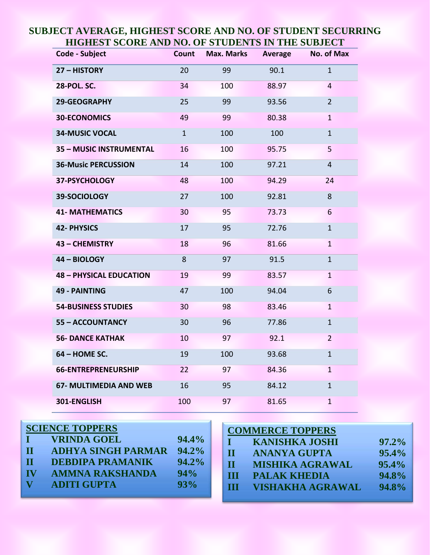| Code - Subject                 | <b>Count</b> | <b>Max. Marks</b> | <b>Average</b> | No. of Max       |
|--------------------------------|--------------|-------------------|----------------|------------------|
| 27 - HISTORY                   | 20           | 99                | 90.1           | $\mathbf{1}$     |
| <b>28-POL. SC.</b>             | 34           | 100               | 88.97          | $\overline{4}$   |
| 29-GEOGRAPHY                   | 25           | 99                | 93.56          | $\overline{2}$   |
| <b>30-ECONOMICS</b>            | 49           | 99                | 80.38          | $\mathbf{1}$     |
| <b>34-MUSIC VOCAL</b>          | $\mathbf{1}$ | 100               | 100            | $\mathbf{1}$     |
| <b>35 - MUSIC INSTRUMENTAL</b> | 16           | 100               | 95.75          | 5                |
| <b>36-Music PERCUSSION</b>     | 14           | 100               | 97.21          | $\overline{4}$   |
| 37-PSYCHOLOGY                  | 48           | 100               | 94.29          | 24               |
| 39-SOCIOLOGY                   | 27           | 100               | 92.81          | 8                |
| <b>41- MATHEMATICS</b>         | 30           | 95                | 73.73          | $6 \overline{6}$ |
| <b>42- PHYSICS</b>             | 17           | 95                | 72.76          | $\mathbf{1}$     |
| 43 - CHEMISTRY                 | 18           | 96                | 81.66          | $\mathbf{1}$     |
| 44 - BIOLOGY                   | 8            | 97                | 91.5           | $\mathbf{1}$     |
| <b>48 - PHYSICAL EDUCATION</b> | 19           | 99                | 83.57          | $\mathbf{1}$     |
| <b>49 - PAINTING</b>           | 47           | 100               | 94.04          | 6                |
| <b>54-BUSINESS STUDIES</b>     | 30           | 98                | 83.46          | $\mathbf{1}$     |
| <b>55 - ACCOUNTANCY</b>        | 30           | 96                | 77.86          | $\mathbf{1}$     |
| <b>56- DANCE KATHAK</b>        | 10           | 97                | 92.1           | $\overline{2}$   |
| 64 - HOME SC.                  | 19           | 100               | 93.68          | 1                |
| 66-ENTREPRENEURSHIP            | 22           | 97                | 84.36          | $\mathbf{1}$     |
| <b>67- MULTIMEDIA AND WEB</b>  | 16           | 95                | 84.12          | $\mathbf{1}$     |
| 301-ENGLISH                    | 100          | 97                | 81.65          | $\mathbf{1}$     |

# **SUBJECT AVERAGE, HIGHEST SCORE AND NO. OF STUDENT SECURRING HIGHEST SCORE AND NO. OF STUDENTS IN THE SUBJECT**

| <b>SCIENCE TOPPERS</b>    | <b>COMMERCE TOPPERS</b> |
|---------------------------|-------------------------|
| <b>VRINDA GOEL</b>        | <b>KANISHKA JOSHI</b>   |
| 94.4%                     | $97.2\%$                |
| <b>ADHYA SINGH PARMAR</b> | 95.4%                   |
| $94.2\%$                  | <b>ANANYA GUPTA</b>     |
| $\mathbf H$               | $\mathbf{H}$            |
| <b>DEBDIPA PRAMANIK</b>   | 95.4%                   |
| $94.2\%$                  | <b>MISHIKA AGRAWAL</b>  |
| $\mathbf H$               | H                       |
| <b>AMMNA RAKSHANDA</b>    | 94.8%                   |
| 94%                       | <b>PALAK KHEDIA</b>     |
| <b>IV</b>                 | <b>VISHAKHA AGRAWAL</b> |
| <b>ADITI GUPTA</b>        | 94.8%                   |
| 93%                       | Ш                       |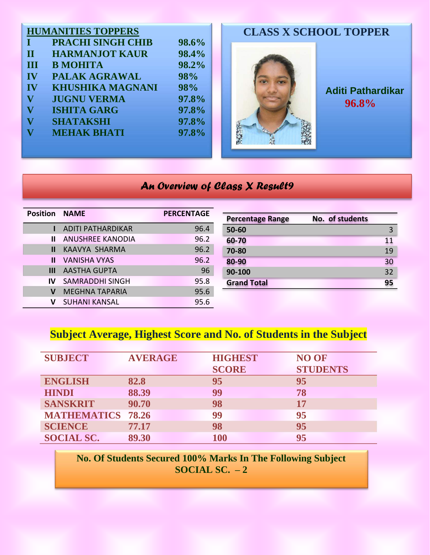|                         | <b>HUMANITIES TOPPERS</b> |       | <b>CLASS X SCHOOL TOPPER</b> |                          |
|-------------------------|---------------------------|-------|------------------------------|--------------------------|
|                         | <b>PRACHI SINGH CHIB</b>  | 98.6% |                              |                          |
| $\mathbf{I}$            | <b>HARMANJOT KAUR</b>     | 98.4% |                              |                          |
| III                     | <b>B MOHITA</b>           | 98.2% |                              |                          |
| IV                      | PALAK AGRAWAL             | 98%   |                              |                          |
| IV                      | <b>KHUSHIKA MAGNANI</b>   | 98%   |                              | <b>Aditi Pathardikar</b> |
| V                       | <b>JUGNU VERMA</b>        | 97.8% |                              | 96.8%                    |
| $\overline{\mathbf{V}}$ | <b>ISHITA GARG</b>        | 97.8% |                              |                          |
|                         | <b>SHATAKSHI</b>          | 97.8% |                              |                          |
|                         | <b>MEHAK BHATI</b>        | 97.8% |                              |                          |
|                         |                           |       |                              |                          |
|                         |                           |       |                              |                          |

# *An Overview of Class X Result9*

| <b>Position NAME</b> |                          | <b>PERCENTAGE</b> | Pe |
|----------------------|--------------------------|-------------------|----|
|                      | <b>ADITI PATHARDIKAR</b> | 96.4              | 50 |
| Ш                    | <b>ANUSHREE KANODIA</b>  | 96.2              | 60 |
| Ш                    | KAAVYA SHARMA            | 96.2              | 70 |
| Ш                    | <b>VANISHA VYAS</b>      | 96.2              | 80 |
| Ш                    | <b>AASTHA GUPTA</b>      | 96                | 90 |
| IV                   | <b>SAMRADDHI SINGH</b>   | 95.8              | Gr |
| v                    | <b>MEGHNA TAPARIA</b>    | 95.6              |    |
| v                    | <b>SUHANI KANSAL</b>     | 95.6              |    |

| <b>Percentage Range</b> | No. of students |
|-------------------------|-----------------|
| 50-60                   | 3               |
| 60-70                   | 11              |
| 70-80                   | 19              |
| 80-90                   | 30              |
| 90-100                  | 32              |
| <b>Grand Total</b>      | 95              |

# **Subject Average, Highest Score and No. of Students in the Subject**

| <b>SUBJECT</b>     | <b>AVERAGE</b> | <b>HIGHEST</b> | <b>NO OF</b>    |
|--------------------|----------------|----------------|-----------------|
|                    |                | <b>SCORE</b>   | <b>STUDENTS</b> |
| <b>ENGLISH</b>     | 82.8           | 95             | 95              |
| <b>HINDI</b>       | 88.39          | 99             | 78              |
| <b>SANSKRIT</b>    | 90.70          | 98             | 17              |
| <b>MATHEMATICS</b> | 78.26          | 99             | 95              |
| <b>SCIENCE</b>     | 77.17          | 98             | 95              |
| <b>SOCIAL SC.</b>  | 89.30          | <b>100</b>     | 95              |

**No. Of Students Secured 100% Marks In The Following Subject SOCIAL SC. – 2**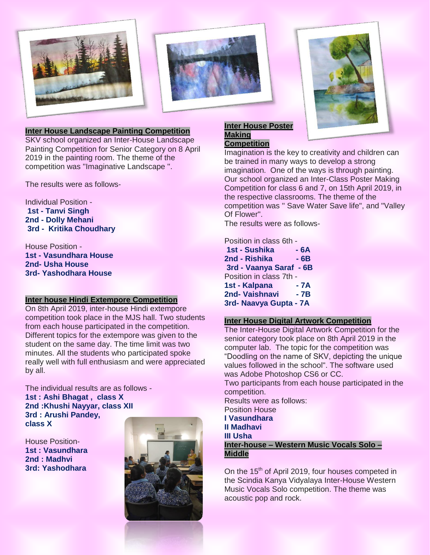



### **Inter House Landscape Painting Competition**

SKV school organized an Inter-House Landscape Painting Competition for Senior Category on 8 April 2019 in the painting room. The theme of the competition was ''Imaginative Landscape ''.

The results were as follows-

Individual Position - **1st - Tanvi Singh 2nd - Dolly Mehani 3rd - Kritika Choudhary**

House Position - **1st - Vasundhara House 2nd- Usha House 3rd- Yashodhara House**

#### **Inter house Hindi Extempore Competition**

On 8th April 2019, inter-house Hindi extempore competition took place in the MJS hall. Two students from each house participated in the competition. Different topics for the extempore was given to the student on the same day. The time limit was two minutes. All the students who participated spoke really well with full enthusiasm and were appreciated by all.

The individual results are as follows - **1st : Ashi Bhagat , class X 2nd :Khushi Nayyar, class XII 3rd : Arushi Pandey, class X**

House Position-**1st : Vasundhara 2nd : Madhvi 3rd: Yashodhara**



## **Inter House Poster Making**

# **Competition**

Imagination is the key to creativity and children can be trained in many ways to develop a strong imagination. One of the ways is through painting. Our school organized an Inter-Class Poster Making Competition for class 6 and 7, on 15th April 2019, in the respective classrooms. The theme of the competition was '' Save Water Save life", and "Valley Of Flower".

The results were as follows-

### Position in class 6th -

**1st - Sushika - 6A 2nd - Rishika - 6B 3rd - Vaanya Saraf - 6B** Position in class 7th - **1st - Kalpana - 7A 2nd- Vaishnavi - 7B 3rd- Naavya Gupta - 7A**

### **Inter House Digital Artwork Competition**

The Inter-House Digital Artwork Competition for the senior category took place on 8th April 2019 in the computer lab. The topic for the competition was "Doodling on the name of SKV, depicting the unique values followed in the school". The software used was Adobe Photoshop CS6 or CC.

Two participants from each house participated in the competition.

Results were as follows:

Position House **I Vasundhara II Madhavi III Usha** 

**Inter-house – Western Music Vocals Solo – Middle**

On the 15<sup>th</sup> of April 2019, four houses competed in the Scindia Kanya Vidyalaya Inter-House Western Music Vocals Solo competition. The theme was acoustic pop and rock.

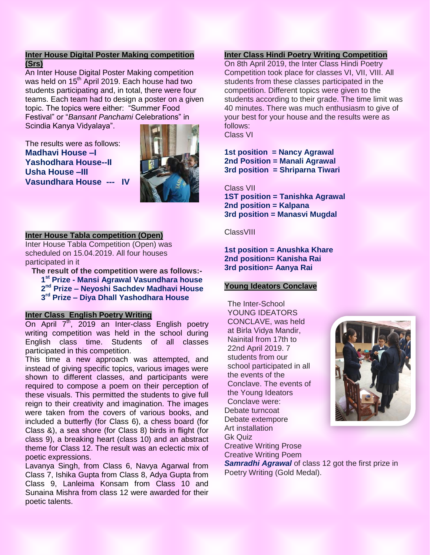# **Inter House Digital Poster Making competition (Srs)**

An Inter House Digital Poster Making competition was held on 15<sup>th</sup> April 2019. Each house had two students participating and, in total, there were four teams. Each team had to design a poster on a given topic. The topics were either: "Summer Food Festival" or "*Bansant Panchami* Celebrations" in Scindia Kanya Vidyalaya".

The results were as follows: **Madhavi House –I Yashodhara House--II Usha House –III Vasundhara House --- IV**



#### **Inter House Tabla competition (Open)**

Inter House Tabla Competition (Open) was scheduled on 15.04.2019. All four houses participated in it

**The result of the competition were as follows:- st Prize - Mansi Agrawal Vasundhara house nd Prize – Neyoshi Sachdev Madhavi House rd Prize – Diya Dhall Yashodhara House**

## **Inter Class English Poetry Writing**

On April  $7<sup>th</sup>$ , 2019 an Inter-class English poetry writing competition was held in the school during English class time. Students of all classes participated in this competition.

This time a new approach was attempted, and instead of giving specific topics, various images were shown to different classes, and participants were required to compose a poem on their perception of these visuals. This permitted the students to give full reign to their creativity and imagination. The images were taken from the covers of various books, and included a butterfly (for Class 6), a chess board (for Class &), a sea shore (for Class 8) birds in flight (for class 9), a breaking heart (class 10) and an abstract theme for Class 12. The result was an eclectic mix of poetic expressions.

Lavanya Singh, from Class 6, Navya Agarwal from Class 7, Ishika Gupta from Class 8, Adya Gupta from Class 9, Lanleima Konsam from Class 10 and Sunaina Mishra from class 12 were awarded for their poetic talents.

# **Inter Class Hindi Poetry Writing Competition**

On 8th April 2019, the Inter Class Hindi Poetry Competition took place for classes VI, VII, VIII. All students from these classes participated in the competition. Different topics were given to the students according to their grade. The time limit was 40 minutes. There was much enthusiasm to give of your best for your house and the results were as follows: Class VI

**1st position = Nancy Agrawal 2nd Position = Manali Agrawal 3rd position = Shriparna Tiwari** 

Class VII **1ST position = Tanishka Agrawal 2nd position = Kalpana 3rd position = Manasvi Mugdal** 

**ClassVIII** 

**1st position = Anushka Khare 2nd position= Kanisha Rai 3rd position= Aanya Rai**

# **Young Ideators Conclave**

The Inter-School YOUNG IDEATORS CONCLAVE, was held at Birla Vidya Mandir, Nainital from 17th to 22nd April 2019. 7 students from our school participated in all the events of the Conclave. The events of the Young Ideators Conclave were: Debate turncoat Debate extempore Art installation Gk Quiz Creative Writing Prose Creative Writing Poem



*Samradhi Agrawal* of class 12 got the first prize in Poetry Writing (Gold Medal).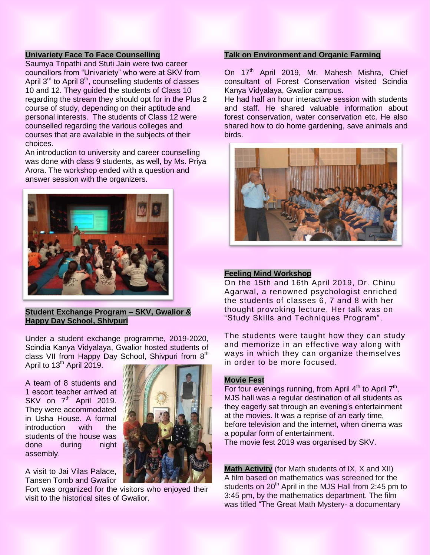### **Univariety Face To Face Counselling**

Saumya Tripathi and Stuti Jain were two career councillors from "Univariety" who were at SKV from April  $3^{rd}$  to April  $8^{th}$ , counselling students of classes 10 and 12. They guided the students of Class 10 regarding the stream they should opt for in the Plus 2 course of study, depending on their aptitude and personal interests. The students of Class 12 were counselled regarding the various colleges and courses that are available in the subjects of their choices.

An introduction to university and career counselling was done with class 9 students, as well, by Ms. Priya Arora. The workshop ended with a question and answer session with the organizers.



### **Student Exchange Program – SKV, Gwalior & Happy Day School, Shivpuri**

Under a student exchange programme, 2019-2020, Scindia Kanya Vidyalaya, Gwalior hosted students of class VII from Happy Day School, Shivpuri from 8<sup>th</sup>

April to  $13<sup>th</sup>$  April 2019.

A team of 8 students and 1 escort teacher arrived at SKV on 7<sup>th</sup> April 2019. They were accommodated in Usha House. A formal introduction with the students of the house was done during night assembly.

A visit to Jai Vilas Palace, Tansen Tomb and Gwalior

Fort was organized for the visitors who enjoyed their visit to the historical sites of Gwalior.



On 17<sup>th</sup> April 2019, Mr. Mahesh Mishra, Chief consultant of Forest Conservation visited Scindia Kanya Vidyalaya, Gwalior campus.

He had half an hour interactive session with students and staff. He shared valuable information about forest conservation, water conservation etc. He also shared how to do home gardening, save animals and birds.



### **Feeling Mind Workshop**

On the 15th and 16th April 2019, Dr. Chinu Agarwal, a renowned psychologist enriched the students of classes 6, 7 and 8 with her thought provoking lecture. Her talk was on "Study Skills and Techniques Program".

The students were taught how they can study and memorize in an effective way along with ways in which they can organize themselves in order to be more focused.

#### **Movie Fest**

For four evenings running, from April  $4<sup>th</sup>$  to April  $7<sup>th</sup>$ , MJS hall was a regular destination of all students as they eagerly sat through an evening's entertainment at the movies. It was a reprise of an early time, before television and the internet, when cinema was a popular form of entertainment.

The movie fest 2019 was organised by SKV.

**Math Activity** (for Math students of IX, X and XII) A film based on mathematics was screened for the students on  $20<sup>th</sup>$  April in the MJS Hall from 2:45 pm to 3:45 pm, by the mathematics department. The film was titled "The Great Math Mystery- a documentary